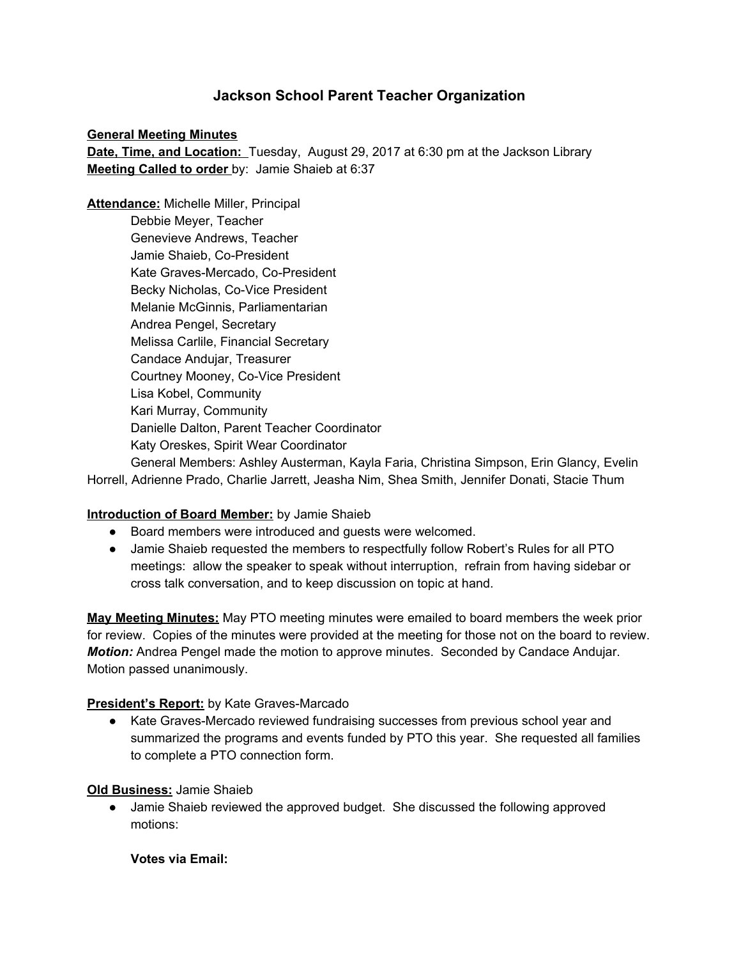# **Jackson School Parent Teacher Organization**

#### **General Meeting Minutes**

**Date, Time, and Location:** Tuesday, August 29, 2017 at 6:30 pm at the Jackson Library **Meeting Called to order** by: Jamie Shaieb at 6:37

**Attendance:** Michelle Miller, Principal Debbie Meyer, Teacher Genevieve Andrews, Teacher Jamie Shaieb, Co-President Kate Graves-Mercado, Co-President Becky Nicholas, Co-Vice President Melanie McGinnis, Parliamentarian Andrea Pengel, Secretary Melissa Carlile, Financial Secretary Candace Andujar, Treasurer Courtney Mooney, Co-Vice President Lisa Kobel, Community Kari Murray, Community Danielle Dalton, Parent Teacher Coordinator Katy Oreskes, Spirit Wear Coordinator

General Members: Ashley Austerman, Kayla Faria, Christina Simpson, Erin Glancy, Evelin Horrell, Adrienne Prado, Charlie Jarrett, Jeasha Nim, Shea Smith, Jennifer Donati, Stacie Thum

### **Introduction of Board Member:** by Jamie Shaieb

- Board members were introduced and guests were welcomed.
- Jamie Shaieb requested the members to respectfully follow Robert's Rules for all PTO meetings: allow the speaker to speak without interruption, refrain from having sidebar or cross talk conversation, and to keep discussion on topic at hand.

**May Meeting Minutes:** May PTO meeting minutes were emailed to board members the week prior for review. Copies of the minutes were provided at the meeting for those not on the board to review. *Motion:* Andrea Pengel made the motion to approve minutes. Seconded by Candace Andujar. Motion passed unanimously.

#### **President's Report:** by Kate Graves-Marcado

● Kate Graves-Mercado reviewed fundraising successes from previous school year and summarized the programs and events funded by PTO this year. She requested all families to complete a PTO connection form.

#### **Old Business:** Jamie Shaieb

● Jamie Shaieb reviewed the approved budget. She discussed the following approved motions:

**Votes via Email:**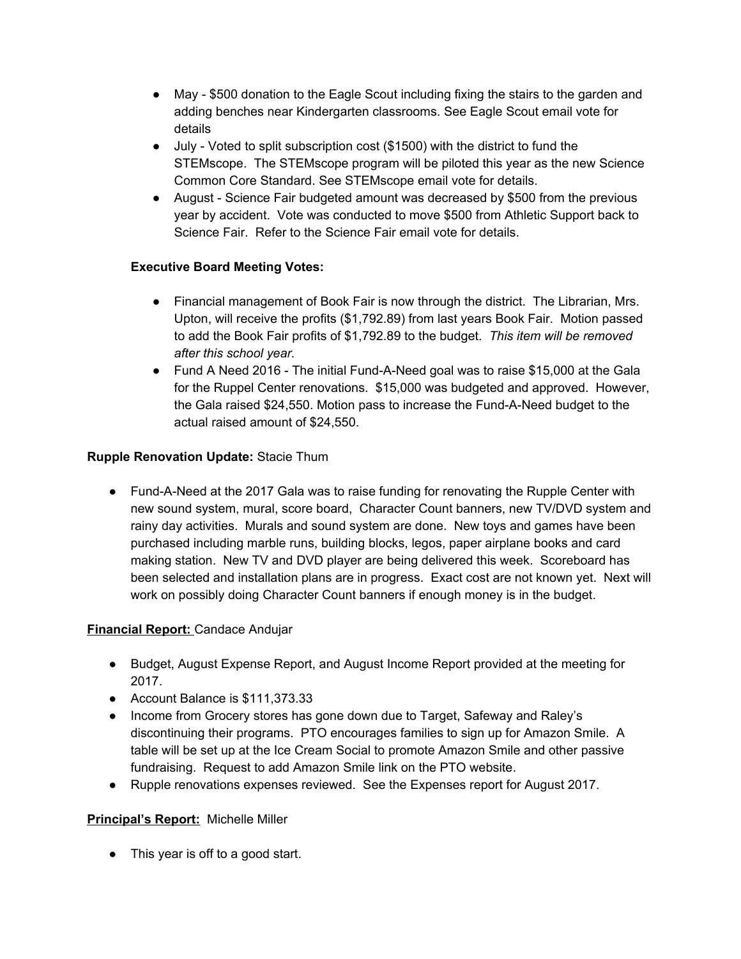- May \$500 donation to the Eagle Scout including fixing the stairs to the garden and adding benches near Kindergarten classrooms. See Eagle Scout email vote for details
- July Voted to split subscription cost (\$1500) with the district to fund the STEMscope. The STEMscope program will be piloted this year as the new Science Common Core Standard. See STEMscope email vote for details.
- August Science Fair budgeted amount was decreased by \$500 from the previous year by accident. Vote was conducted to move \$500 from Athletic Support back to Science Fair. Refer to the Science Fair email vote for details.

## **Executive Board Meeting Votes:**

- Financial management of Book Fair is now through the district. The Librarian, Mrs. Upton, will receive the profits (\$1,792.89) from last years Book Fair. Motion passed to add the Book Fair profits of \$1,792.89 to the budget. *This item will be removed after this school year.*
- Fund A Need 2016 The initial Fund-A-Need goal was to raise \$15,000 at the Gala for the Ruppel Center renovations. \$15,000 was budgeted and approved. However, the Gala raised \$24,550. Motion pass to increase the Fund-A-Need budget to the actual raised amount of \$24,550.

## **Rupple Renovation Update:** Stacie Thum

● Fund-A-Need at the 2017 Gala was to raise funding for renovating the Rupple Center with new sound system, mural, score board, Character Count banners, new TV/DVD system and rainy day activities. Murals and sound system are done. New toys and games have been purchased including marble runs, building blocks, legos, paper airplane books and card making station. New TV and DVD player are being delivered this week. Scoreboard has been selected and installation plans are in progress. Exact cost are not known yet. Next will work on possibly doing Character Count banners if enough money is in the budget.

## **Financial Report:** Candace Andujar

- Budget, August Expense Report, and August Income Report provided at the meeting for 2017.
- Account Balance is \$111,373.33
- Income from Grocery stores has gone down due to Target, Safeway and Raley's discontinuing their programs. PTO encourages families to sign up for Amazon Smile. A table will be set up at the Ice Cream Social to promote Amazon Smile and other passive fundraising. Request to add Amazon Smile link on the PTO website.
- Rupple renovations expenses reviewed. See the Expenses report for August 2017.

## **Principal's Report:** Michelle Miller

• This year is off to a good start.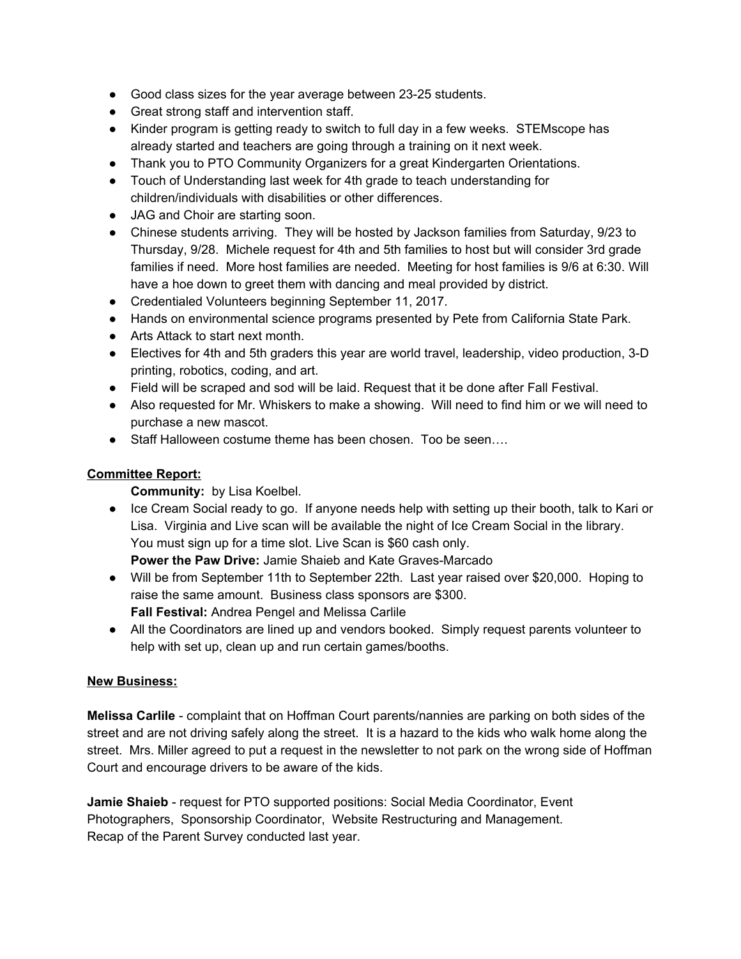- Good class sizes for the year average between 23-25 students.
- Great strong staff and intervention staff.
- Kinder program is getting ready to switch to full day in a few weeks. STEMscope has already started and teachers are going through a training on it next week.
- Thank you to PTO Community Organizers for a great Kindergarten Orientations.
- Touch of Understanding last week for 4th grade to teach understanding for children/individuals with disabilities or other differences.
- JAG and Choir are starting soon.
- Chinese students arriving. They will be hosted by Jackson families from Saturday, 9/23 to Thursday, 9/28. Michele request for 4th and 5th families to host but will consider 3rd grade families if need. More host families are needed. Meeting for host families is 9/6 at 6:30. Will have a hoe down to greet them with dancing and meal provided by district.
- Credentialed Volunteers beginning September 11, 2017.
- Hands on environmental science programs presented by Pete from California State Park.
- Arts Attack to start next month.
- Electives for 4th and 5th graders this year are world travel, leadership, video production, 3-D printing, robotics, coding, and art.
- Field will be scraped and sod will be laid. Request that it be done after Fall Festival.
- Also requested for Mr. Whiskers to make a showing. Will need to find him or we will need to purchase a new mascot.
- Staff Halloween costume theme has been chosen. Too be seen....

### **Committee Report:**

**Community:** by Lisa Koelbel.

● Ice Cream Social ready to go. If anyone needs help with setting up their booth, talk to Kari or Lisa. Virginia and Live scan will be available the night of Ice Cream Social in the library. You must sign up for a time slot. Live Scan is \$60 cash only.

**Power the Paw Drive:** Jamie Shaieb and Kate Graves-Marcado

- Will be from September 11th to September 22th. Last year raised over \$20,000. Hoping to raise the same amount. Business class sponsors are \$300. **Fall Festival:** Andrea Pengel and Melissa Carlile
- All the Coordinators are lined up and vendors booked. Simply request parents volunteer to help with set up, clean up and run certain games/booths.

### **New Business:**

**Melissa Carlile** - complaint that on Hoffman Court parents/nannies are parking on both sides of the street and are not driving safely along the street. It is a hazard to the kids who walk home along the street. Mrs. Miller agreed to put a request in the newsletter to not park on the wrong side of Hoffman Court and encourage drivers to be aware of the kids.

**Jamie Shaieb** - request for PTO supported positions: Social Media Coordinator, Event Photographers, Sponsorship Coordinator, Website Restructuring and Management. Recap of the Parent Survey conducted last year.